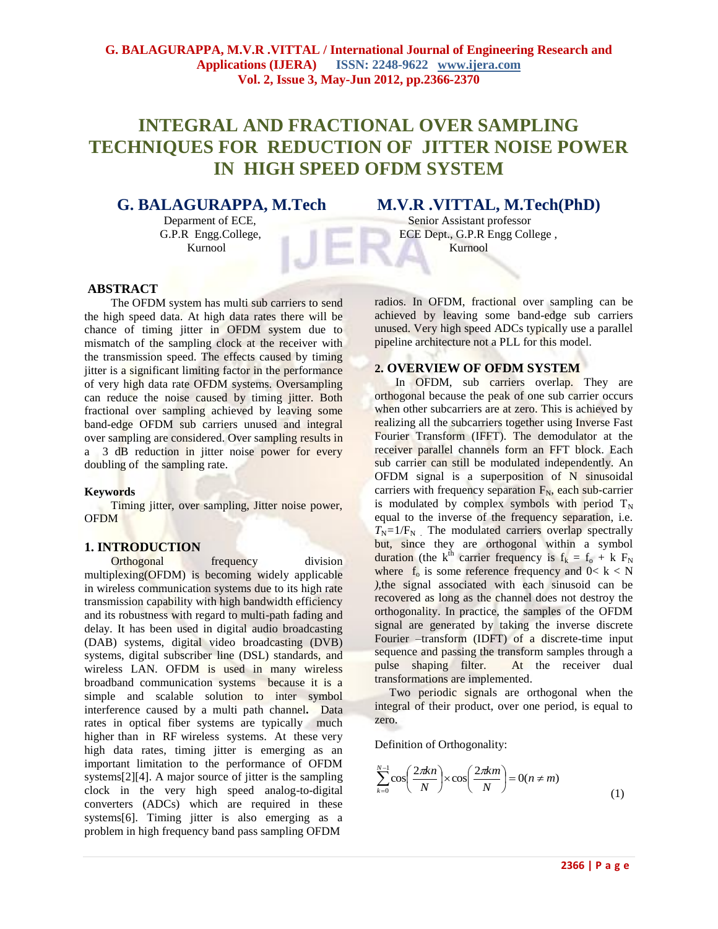# **INTEGRAL AND FRACTIONAL OVER SAMPLING TECHNIQUES FOR REDUCTION OF JITTER NOISE POWER IN HIGH SPEED OFDM SYSTEM**

Kurnool Kurnool Kurnool Kurnool Kurnool Kurnool Kurnool Kurnool Kurnool Kurnool Kurnool Kurnool Kurnool Kurnool

## **G. BALAGURAPPA, M.Tech M.V.R .VITTAL, M.Tech(PhD)**

Deparment of ECE,<br>Senior Assistant professor G.P.R Engg.College, ECE Dept., G.P.R Engg College ,

#### **ABSTRACT**

The OFDM system has multi sub carriers to send the high speed data. At high data rates there will be chance of timing jitter in OFDM system due to mismatch of the sampling clock at the receiver with the transmission speed. The effects caused by timing jitter is a significant limiting factor in the performance of very high data rate OFDM systems. Oversampling can reduce the noise caused by timing jitter. Both fractional over sampling achieved by leaving some band-edge OFDM sub carriers unused and integral over sampling are considered. Over sampling results in a 3 dB reduction in jitter noise power for every doubling of the sampling rate.

#### **Keywords**

 Timing jitter, over sampling, Jitter noise power, OFDM

#### **1. INTRODUCTION**

Orthogonal frequency division multiplexing(OFDM) is becoming widely applicable in wireless communication systems due to its high rate transmission capability with high bandwidth efficiency and its robustness with regard to multi-path fading and delay. It has been used in digital audio broadcasting (DAB) systems, digital video broadcasting (DVB) systems, digital subscriber line (DSL) standards, and wireless LAN. OFDM is used in many wireless broadband communication systems because it is a simple and scalable solution to inter symbol interference caused by a multi path channel**.** Data rates in optical fiber systems are typically much higher than in RF wireless systems. At these very high data rates, timing jitter is emerging as an important limitation to the performance of OFDM systems[2][4]. A major source of jitter is the sampling clock in the very high speed analog-to-digital converters (ADCs) which are required in these systems[6]. Timing jitter is also emerging as a problem in high frequency band pass sampling OFDM

radios. In OFDM, fractional over sampling can be achieved by leaving some band-edge sub carriers unused. Very high speed ADCs typically use a parallel pipeline architecture not a PLL for this model.

### **2. OVERVIEW OF OFDM SYSTEM**

In OFDM, sub carriers overlap. They are orthogonal because the peak of one sub carrier occurs when other subcarriers are at zero. This is achieved by realizing all the subcarriers together using Inverse Fast Fourier Transform (IFFT). The demodulator at the receiver parallel channels form an FFT block. Each sub carrier can still be modulated independently. An OFDM signal is a superposition of N sinusoidal carriers with frequency separation  $F_N$ , each sub-carrier is modulated by complex symbols with period  $T_N$ equal to the inverse of the frequency separation, i.e.  $T_N = 1/F_N$  The modulated carriers overlap spectrally but, since they are orthogonal within a symbol duration (the k<sup>th</sup> carrier frequency is  $f_k = f_0 + k F_N$ where  $f_0$  is some reference frequency and  $0 < k < N$ *)*,the signal associated with each sinusoid can be recovered as long as the channel does not destroy the orthogonality. In practice, the samples of the OFDM signal are generated by taking the inverse discrete Fourier –transform (IDFT) of a discrete-time input sequence and passing the transform samples through a pulse shaping filter. At the receiver dual transformations are implemented.

 Two periodic signals are orthogonal when the integral of their product, over one period, is equal to zero.

Definition of Orthogonality:

$$
\sum_{k=0}^{N-1} \cos\left(\frac{2\pi k n}{N}\right) \times \cos\left(\frac{2\pi k m}{N}\right) = 0(n \neq m)
$$
\n(1)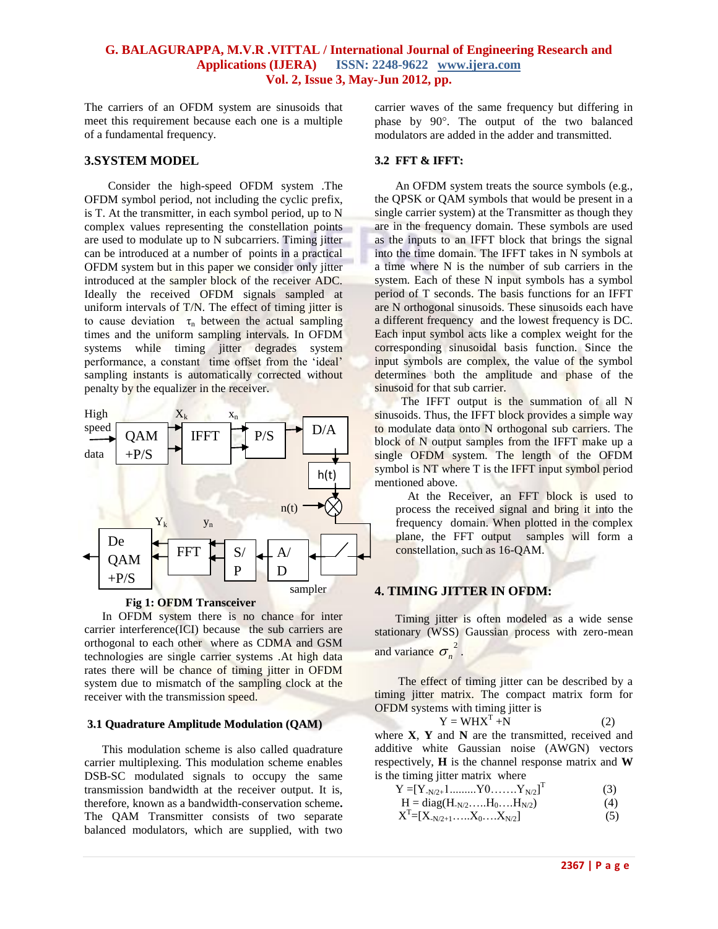The carriers of an OFDM system are sinusoids that meet this requirement because each one is a multiple of a fundamental frequency.

#### **3.SYSTEM MODEL**

 Consider the high-speed OFDM system .The OFDM symbol period, not including the cyclic prefix, is T. At the transmitter, in each symbol period, up to N complex values representing the constellation points are used to modulate up to N subcarriers. Timing jitter can be introduced at a number of points in a practical OFDM system but in this paper we consider only jitter introduced at the sampler block of the receiver ADC. Ideally the received OFDM signals sampled at uniform intervals of T/N. The effect of timing jitter is to cause deviation  $\tau_n$  between the actual sampling times and the uniform sampling intervals. In OFDM systems while timing jitter degrades system performance, a constant time offset from the "ideal" sampling instants is automatically corrected without penalty by the equalizer in the receiver.





In OFDM system there is no chance for inter carrier interference(ICI) because the sub carriers are orthogonal to each other where as CDMA and GSM technologies are single carrier systems .At high data rates there will be chance of timing jitter in OFDM system due to mismatch of the sampling clock at the receiver with the transmission speed.

#### **3.1 Quadrature Amplitude Modulation (QAM)**

This modulation scheme is also called quadrature carrier multiplexing. This modulation scheme enables DSB-SC modulated signals to occupy the same transmission bandwidth at the receiver output. It is, therefore, known as a bandwidth-conservation scheme**.** The QAM Transmitter consists of two separate balanced modulators, which are supplied, with two carrier waves of the same frequency but differing in phase by 90°. The output of the two balanced modulators are added in the adder and transmitted.

#### **3.2 FFT & IFFT:**

 An OFDM system treats the source symbols (e.g., the QPSK or QAM symbols that would be present in a single carrier system) at the Transmitter as though they are in the frequency domain. These symbols are used as the inputs to an IFFT block that brings the signal into the time domain. The IFFT takes in N symbols at a time where N is the number of sub carriers in the system. Each of these N input symbols has a symbol period of T seconds. The basis functions for an IFFT are N orthogonal sinusoids. These sinusoids each have a different frequency and the lowest frequency is DC. Each input symbol acts like a complex weight for the corresponding sinusoidal basis function. Since the input symbols are complex, the value of the symbol determines both the amplitude and phase of the sinusoid for that sub carrier.

The IFFT output is the summation of all N sinusoids. Thus, the IFFT block provides a simple way to modulate data onto N orthogonal sub carriers. The block of N output samples from the IFFT make up a single OFDM system. The length of the OFDM symbol is NT where T is the IFFT input symbol period mentioned above.

 At the Receiver, an FFT block is used to process the received signal and bring it into the frequency domain. When plotted in the complex plane, the FFT output samples will form a constellation, such as 16-QAM.

#### **4. TIMING JITTER IN OFDM:**

 Timing jitter is often modeled as a wide sense stationary (WSS) Gaussian process with zero-mean and variance  $\sigma_n^2$ .

 The effect of timing jitter can be described by a timing jitter matrix. The compact matrix form for OFDM systems with timing jitter is

$$
Y = W H XT + N
$$
 (2)

where **X**, **Y** and **N** are the transmitted, received and additive white Gaussian noise (AWGN) vectors respectively, **H** is the channel response matrix and **W**  is the timing jitter matrix where

$$
Y = [Y_{N/2+1} \dots \dots Y0 \dots \dots Y_{N/2}]^{T}
$$
 (3)

$$
H = diag(H_{-N/2}, \dots, H_0, \dots, H_{N/2})
$$
 (4)

$$
X^T = [X_{-N/2+1}, \dots, X_0, \dots, X_{N/2}] \tag{5}
$$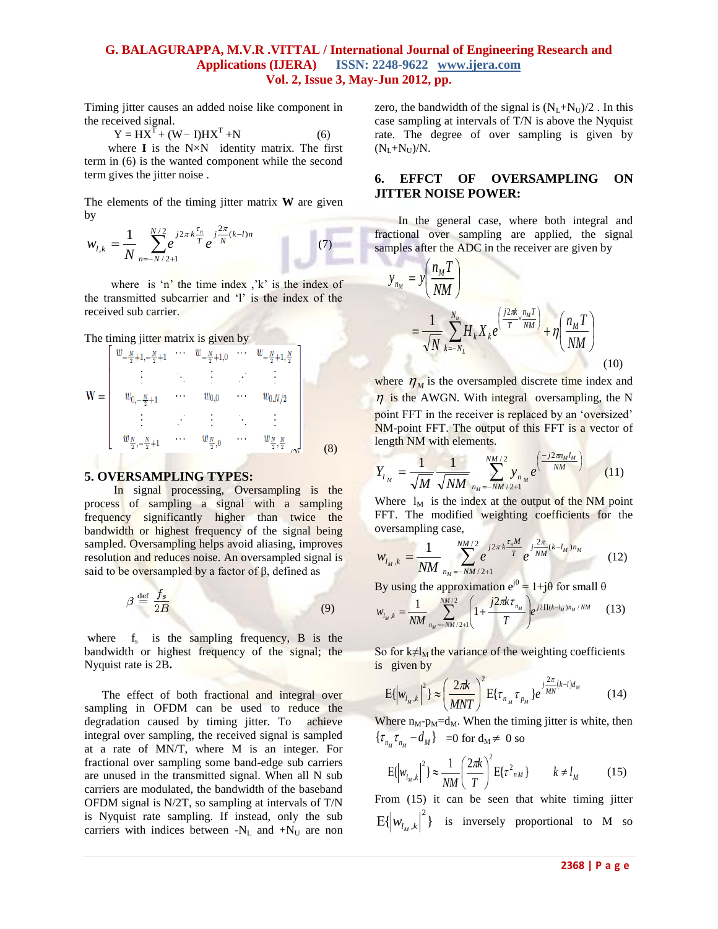Timing jitter causes an added noise like component in the received signal.

 $Y = HX^{T} + (W - I)HX^{T} + N$  (6)

 where **I** is the N×Nidentity matrix. The first term in (6) is the wanted component while the second term gives the jitter noise .

The elements of the timing jitter matrix **W** are given by

$$
w_{l,k} = \frac{1}{N} \sum_{n=-N/2+1}^{N/2} e^{j2\pi k \frac{\tau_n}{T}} e^{j\frac{2\pi}{N}(k-l)n}
$$
(7)

where is 'n' the time index  $k$ ' is the index of the transmitted subcarrier and "l" is the index of the received sub carrier.

The timing jitter matrix is given by

$$
\mathbf{W} = \begin{bmatrix} w_{-\frac{N}{2}+1,-\frac{N}{2}+1} & \cdots & w_{-\frac{N}{2}+1,0} & \cdots & w_{-\frac{N}{2}+1,\frac{N}{2}} \\ \vdots & \ddots & \vdots & \ddots & \vdots \\ w_{0,-\frac{N}{2}+1} & \cdots & w_{0,0} & \cdots & w_{0,N/2} \\ \vdots & \vdots & \ddots & \vdots & \ddots & \vdots \\ w_{\frac{N}{2},-\frac{N}{2}+1} & \cdots & w_{\frac{N}{2},0} & \cdots & w_{\frac{N}{2},\frac{N}{2}} \\ \end{bmatrix}
$$
 (8)

#### **5. OVERSAMPLING TYPES:**

In signal processing, Oversampling is the process of sampling a signal with a sampling frequency significantly higher than twice the bandwidth or highest frequency of the signal being sampled. Oversampling helps avoid aliasing, improves resolution and reduces noise. An oversampled signal is said to be oversampled by a factor of  $β$ , defined as

$$
\beta \stackrel{\text{def}}{=} \frac{f_s}{2B} \tag{9}
$$

where  $f_s$  is the sampling frequency, B is the bandwidth or highest frequency of the signal; the Nyquist rate is 2B**.** 

The effect of both fractional and integral over sampling in OFDM can be used to reduce the degradation caused by timing jitter. To achieve integral over sampling, the received signal is sampled at a rate of MN/T, where M is an integer. For fractional over sampling some band-edge sub carriers are unused in the transmitted signal. When all N sub carriers are modulated, the bandwidth of the baseband OFDM signal is N/2T, so sampling at intervals of T/N is Nyquist rate sampling. If instead, only the sub carriers with indices between  $-N_L$  and  $+N_U$  are non

zero, the bandwidth of the signal is  $(N_L+N_U)/2$ . In this case sampling at intervals of T/N is above the Nyquist rate. The degree of over sampling is given by  $(N_L+N_U)/N$ .

#### **6. EFFCT OF OVERSAMPLING ON JITTER NOISE POWER:**

 In the general case, where both integral and fractional over sampling are applied, the signal samples after the ADC in the receiver are given by

$$
y_{n_M} = y \left(\frac{n_M T}{NM}\right)
$$
  
= 
$$
\frac{1}{\sqrt{N}} \sum_{k=-N_L}^{N_u} H_k X_k e^{\left(\frac{j2\pi k}{T} \sum_{j=M}^{n_M T}\right)} + \eta \left(\frac{n_M T}{NM}\right)
$$
 (10)

where  $\eta_M$  is the oversampled discrete time index and  $\eta$  is the AWGN. With integral oversampling, the N point FFT in the receiver is replaced by an 'oversized' NM-point FFT. The output of this FFT is a vector of length NM with elements.

$$
Y_{l_M} = \frac{1}{\sqrt{M}} \frac{1}{\sqrt{NM}} \sum_{n_M = -NM/2+1}^{NM/2} y_{n_M} e^{\left(-\frac{j2\pi n_M l_M}{NM}\right)} \tag{11}
$$

Where  $l_M$  is the index at the output of the NM point FFT. The modified weighting coefficients for the oversampling case,

$$
w_{l_M,k} = \frac{1}{NM} \sum_{n_M=-NM/2+1}^{NM/2} e^{j2\pi k \frac{\tau_n M}{T}} e^{j\frac{2\pi}{NM}(k-l_M)n_M}
$$
(12)

By using the approximation  $e^{j\theta} = 1 + j\theta$  for small  $\theta$ 

$$
w_{l_M,k} = \frac{1}{NM} \sum_{n_M = -NM/2+1}^{NM/2} \left(1 + \frac{j2\pi k \tau_{n_M}}{T}\right) e^{j2\prod(k - l_M)n_M/NM} \tag{13}
$$

So for  $k \neq l_M$  the variance of the weighting coefficients is given by

$$
E\{|w_{l_M,k}|^2\} \approx \left(\frac{2\pi k}{MNT}\right)^2 E\{\tau_{n_M}\tau_{p_M}\}e^{j\frac{2\pi}{M N}(k-l)d_M}
$$
(14)

Where  $n_M-p_M=d_M$ . When the timing jitter is white, then  ${\tau_{n_M} \tau_{n_M} - d_M}$  =0 for  $d_M \neq 0$  so

$$
E\{\left|w_{l_M,k}\right|^2\} \approx \frac{1}{NM} \left(\frac{2\pi k}{T}\right)^2 E\{\tau^2_{nM}\} \qquad k \neq l_M \tag{15}
$$

From (15) it can be seen that white timing jitter  $E\{\left|w_{l_M,k}\right|^2\}$  is inversely proportional to M so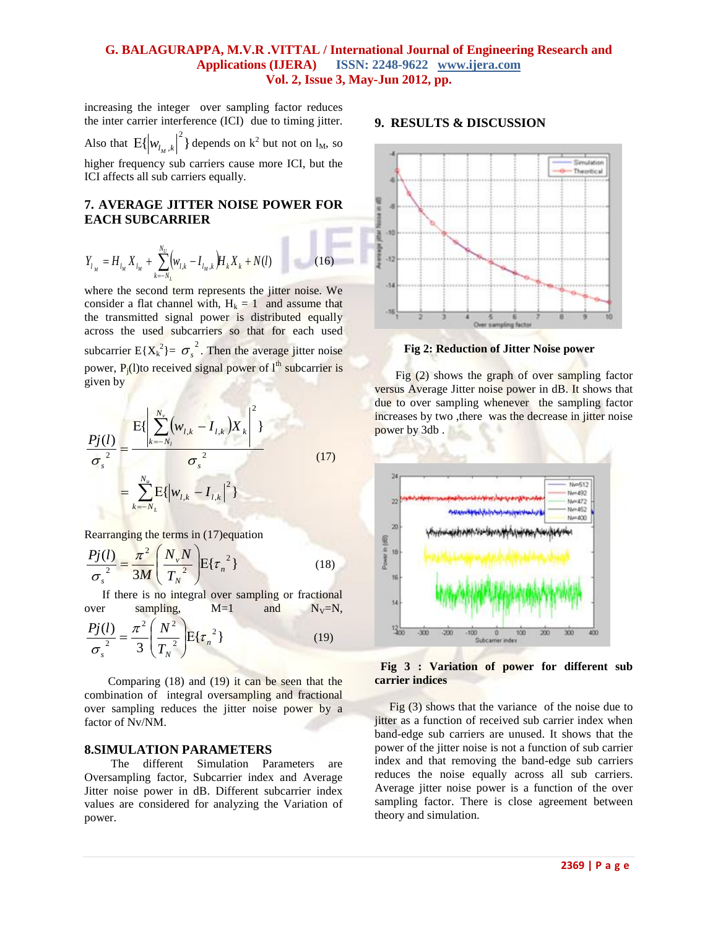increasing the integerover sampling factor reduces the inter carrier interference (ICI)due to timing jitter.

Also that  $E\{\left|w_{l_M,k}\right|^2\}$  depends on  $k^2$  but not on  $l_M$ , so

higher frequency sub carriers cause more ICI, but the ICI affects all sub carriers equally.

#### **7. AVERAGE JITTER NOISE POWER FOR EACH SUBCARRIER**

$$
Y_{l_{M}} = H_{l_{M}} X_{l_{M}} + \sum_{k=-N_{L}}^{N_{U}} \left( w_{l,k} - I_{l_{M},k} \right) H_{k} X_{k} + N(l) \tag{16}
$$

where the second term represents the jitter noise. We consider a flat channel with,  $H_k = 1$  and assume that the transmitted signal power is distributed equally across the used subcarriers so that for each used subcarrier  $E{X_k}^2$  =  $\sigma_s^2$ . Then the average jitter noise power,  $P_i(l)$ to received signal power of  $l<sup>th</sup>$  subcarrier is given by

$$
\frac{Pj(l)}{\sigma_s^2} = \frac{E\{\left|\sum_{k=-N_l}^{N_v} (w_{l,k} - I_{l,k})X_k\right|^2\}}{\sigma_s^2}
$$
\n
$$
= \sum_{k=-N_L}^{N_u} E\{\left|w_{l,k} - I_{l,k}\right|^2\}
$$
\n(17)

Rearranging the terms in (17)equation

$$
\frac{Pj(l)}{\sigma_s^2} = \frac{\pi^2}{3M} \left( \frac{N_v N}{T_N^2} \right) E\{\tau_n^2\}
$$
 (18)

 If there is no integral over sampling or fractional over sampling,  $M=1$  and  $N_V=N$ ,

$$
\frac{Pj(l)}{\sigma_s^2} = \frac{\pi^2}{3} \left(\frac{N^2}{T_N^2}\right) E\{\tau_n^2\}
$$
 (19)

 Comparing (18) and (19) it can be seen that the combination of integral oversampling and fractional over sampling reduces the jitter noise power by a factor of Nv/NM.

#### **8.SIMULATION PARAMETERS**

 The different Simulation Parameters are Oversampling factor, Subcarrier index and Average Jitter noise power in dB. Different subcarrier index values are considered for analyzing the Variation of power.

#### **9. RESULTS & DISCUSSION**



**Fig 2: Reduction of Jitter Noise power**

Fig (2) shows the graph of over sampling factor versus Average Jitter noise power in dB. It shows that due to over sampling whenever the sampling factor increases by two ,there was the decrease in jitter noise power by 3db .



 **Fig 3 : Variation of power for different sub carrier indices**

Fig (3) shows that the variance of the noise due to jitter as a function of received sub carrier index when band-edge sub carriers are unused. It shows that the power of the jitter noise is not a function of sub carrier index and that removing the band-edge sub carriers reduces the noise equally across all sub carriers. Average jitter noise power is a function of the over sampling factor. There is close agreement between theory and simulation.